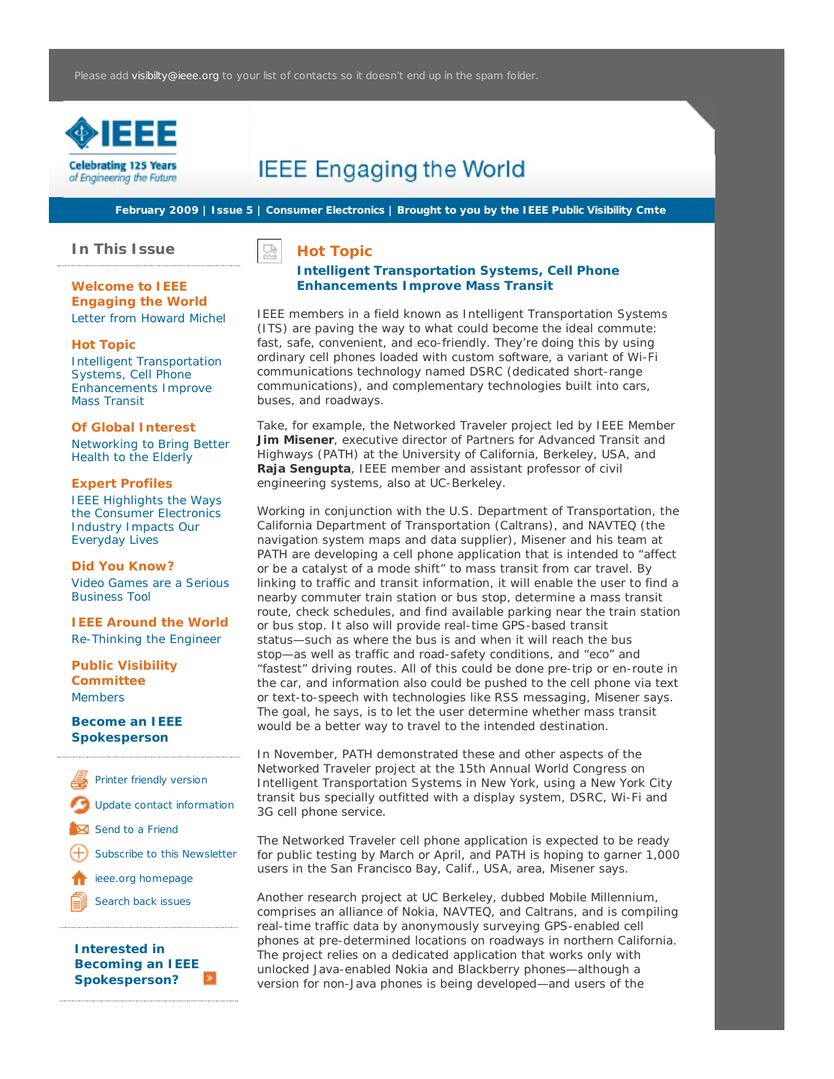

# **IEEE Engaging the World**

**February 2009 | Issue 5 | Consumer Electronics | Brought to you by the IEEE Public Visibility Cmte**

**In This Issue**

**Hot Topic**

# **Welcome to IEEE Engaging the World** Letter from Howard Michel

## **Hot Topic**

Intelligent Transportation Systems, Cell Phone Enhancements Improve Mass Transit

### **Of Global Interest**

Networking to Bring Better Health to the Elderly

#### **Expert Profiles**

IEEE Highlights the Ways the Consumer Electronics Industry Impacts Our Everyday Lives

#### **Did You Know?**

Video Games are a Serious Business Tool

**IEEE Around the World** Re-Thinking the Engineer

# **Public Visibility Committee** Members

#### **Become an IEEE Spokesperson**

Printer friendly version Update contact information Send to a Friend Subscribe to this Newsletter ieee.org homepage Search back issues

**Interested in Becoming an IEEE Spokesperson?**

덨

# **Intelligent Transportation Systems, Cell Phone Enhancements Improve Mass Transit**

IEEE members in a field known as Intelligent Transportation Systems (ITS) are paving the way to what could become the ideal commute: fast, safe, convenient, and eco-friendly. They're doing this by using ordinary cell phones loaded with custom software, a variant of Wi-Fi communications technology named DSRC (dedicated short-range communications), and complementary technologies built into cars, buses, and roadways.

Take, for example, the Networked Traveler project led by IEEE Member **Jim Misener**, executive director of Partners for Advanced Transit and Highways (PATH) at the University of California, Berkeley, USA, and **Raja Sengupta**, IEEE member and assistant professor of civil engineering systems, also at UC-Berkeley.

Working in conjunction with the U.S. Department of Transportation, the California Department of Transportation (Caltrans), and NAVTEQ (the navigation system maps and data supplier), Misener and his team at PATH are developing a cell phone application that is intended to "affect or be a catalyst of a mode shift" to mass transit from car travel. By linking to traffic and transit information, it will enable the user to find a nearby commuter train station or bus stop, determine a mass transit route, check schedules, and find available parking near the train station or bus stop. It also will provide real-time GPS-based transit status—such as where the bus is and when it will reach the bus stop—as well as traffic and road-safety conditions, and "eco" and "fastest" driving routes. All of this could be done pre-trip or en-route in the car, and information also could be pushed to the cell phone via text or text-to-speech with technologies like RSS messaging, Misener says. The goal, he says, is to let the user determine whether mass transit would be a better way to travel to the intended destination.

In November, PATH demonstrated these and other aspects of the Networked Traveler project at the 15th Annual World Congress on Intelligent Transportation Systems in New York, using a New York City transit bus specially outfitted with a display system, DSRC, Wi-Fi and 3G cell phone service.

The Networked Traveler cell phone application is expected to be ready for public testing by March or April, and PATH is hoping to garner 1,000 users in the San Francisco Bay, Calif., USA, area, Misener says.

Another research project at UC Berkeley, dubbed Mobile Millennium, comprises an alliance of Nokia, NAVTEQ, and Caltrans, and is compiling real-time traffic data by anonymously surveying GPS-enabled cell phones at pre-determined locations on roadways in northern California. The project relies on a dedicated application that works only with unlocked Java-enabled Nokia and Blackberry phones—although a version for non-Java phones is being developed—and users of the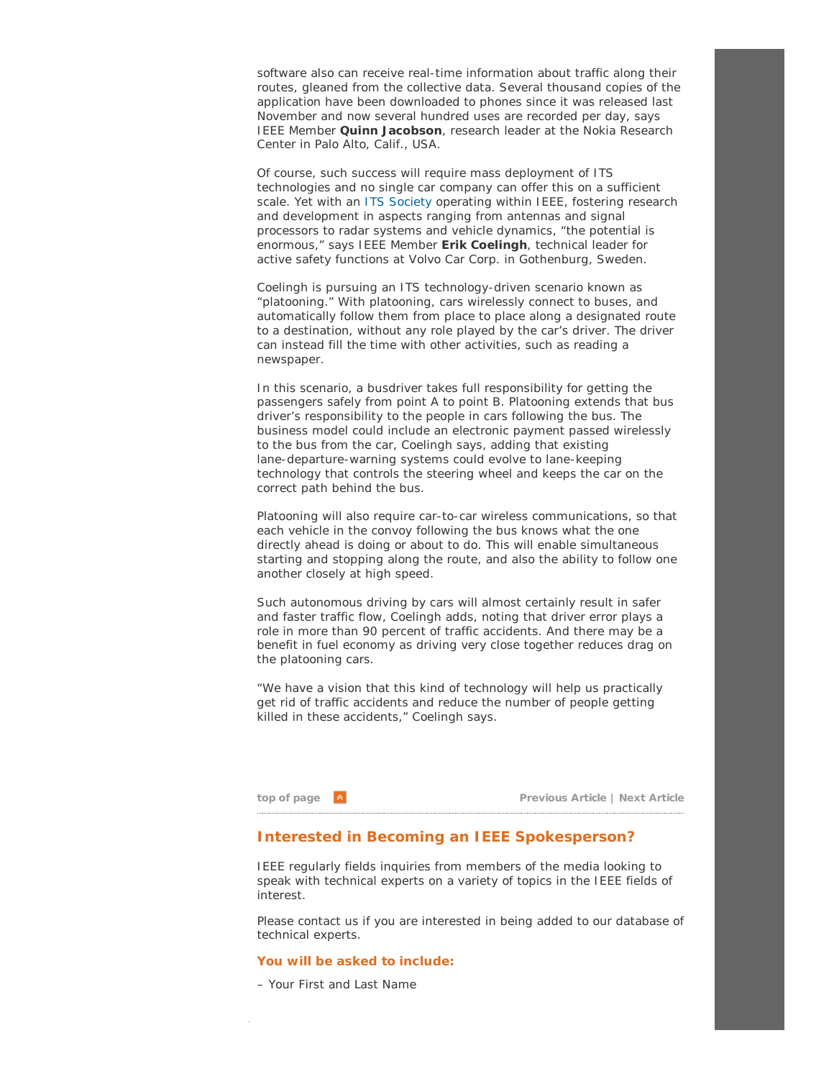software also can receive real-time information about traffic along their routes, gleaned from the collective data. Several thousand copies of the application have been downloaded to phones since it was released last November and now several hundred uses are recorded per day, says IEEE Member **Quinn Jacobson**, research leader at the Nokia Research Center in Palo Alto, Calif., USA.

Of course, such success will require mass deployment of ITS technologies and no single car company can offer this on a sufficient scale. Yet with an ITS Society operating within IEEE, fostering research and development in aspects ranging from antennas and signal processors to radar systems and vehicle dynamics, "the potential is enormous," says IEEE Member **Erik Coelingh**, technical leader for active safety functions at Volvo Car Corp. in Gothenburg, Sweden.

Coelingh is pursuing an ITS technology-driven scenario known as "platooning." With platooning, cars wirelessly connect to buses, and automatically follow them from place to place along a designated route to a destination, without any role played by the car's driver. The driver can instead fill the time with other activities, such as reading a newspaper.

In this scenario, a busdriver takes full responsibility for getting the passengers safely from point A to point B. Platooning extends that bus driver's responsibility to the people in cars following the bus. The business model could include an electronic payment passed wirelessly to the bus from the car, Coelingh says, adding that existing lane-departure-warning systems could evolve to lane-keeping technology that controls the steering wheel and keeps the car on the correct path behind the bus.

Platooning will also require car-to-car wireless communications, so that each vehicle in the convoy following the bus knows what the one directly ahead is doing or about to do. This will enable simultaneous starting and stopping along the route, and also the ability to follow one another closely at high speed.

Such autonomous driving by cars will almost certainly result in safer and faster traffic flow, Coelingh adds, noting that driver error plays a role in more than 90 percent of traffic accidents. And there may be a benefit in fuel economy as driving very close together reduces drag on the platooning cars.

"We have a vision that this kind of technology will help us practically get rid of traffic accidents and reduce the number of people getting killed in these accidents," Coelingh says.

**top of page Previous Article | Next Article**

# **Interested in Becoming an IEEE Spokesperson?**

IEEE regularly fields inquiries from members of the media looking to speak with technical experts on a variety of topics in the IEEE fields of interest.

Please contact us if you are interested in being added to our database of technical experts.

### **You will be asked to include:**

– Your First and Last Name